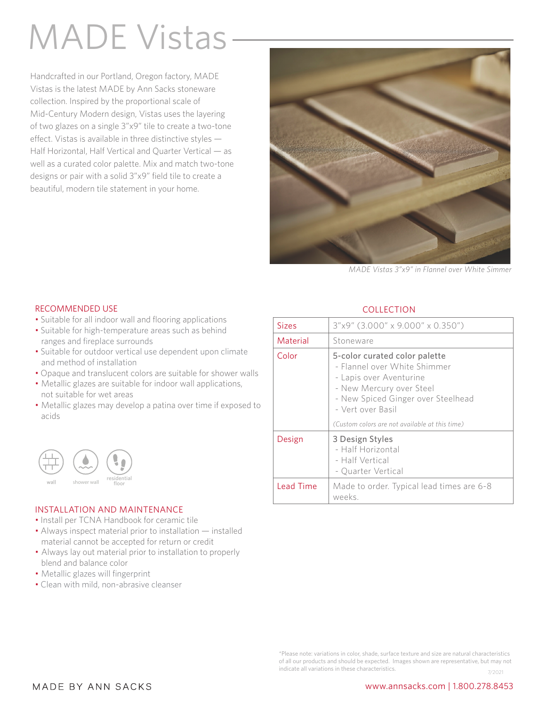# MADE Vistas

Handcrafted in our Portland, Oregon factory, MADE Vistas is the latest MADE by Ann Sacks stoneware collection. Inspired by the proportional scale of Mid-Century Modern design, Vistas uses the layering of two glazes on a single 3"x9" tile to create a two-tone effect. Vistas is available in three distinctive styles — Half Horizontal, Half Vertical and Quarter Vertical — as well as a curated color palette. Mix and match two-tone designs or pair with a solid 3"x9" field tile to create a beautiful, modern tile statement in your home.



*MADE Vistas 3"x9" in Flannel over White Simmer* 

### RECOMMENDED USE

- Suitable for all indoor wall and flooring applications
- Suitable for high-temperature areas such as behind ranges and fireplace surrounds
- Suitable for outdoor vertical use dependent upon climate and method of installation
- Opaque and translucent colors are suitable for shower walls
- Metallic glazes are suitable for indoor wall applications, not suitable for wet areas
- Metallic glazes may develop a patina over time if exposed to acids



#### INSTALLATION AND MAINTENANCE

- Install per TCNA Handbook for ceramic tile
- Always inspect material prior to installation installed material cannot be accepted for return or credit
- Always lay out material prior to installation to properly blend and balance color
- Metallic glazes will fingerprint
- Clean with mild, non-abrasive cleanser

### **COLLECTION**

| <b>Sizes</b>     | 3"x9" (3.000" x 9.000" x 0.350")                                                                                                                                                |
|------------------|---------------------------------------------------------------------------------------------------------------------------------------------------------------------------------|
| Material         | Stoneware                                                                                                                                                                       |
| Color            | 5-color curated color palette<br>- Flannel over White Shimmer<br>- Lapis over Aventurine<br>- New Mercury over Steel<br>- New Spiced Ginger over Steelhead<br>- Vert over Basil |
|                  | (Custom colors are not available at this time)                                                                                                                                  |
| Design           | 3 Design Styles<br>- Half Horizontal<br>- Half Vertical<br>- Quarter Vertical                                                                                                   |
| <b>Lead Time</b> | Made to order. Typical lead times are 6-8<br>weeks.                                                                                                                             |

\*Please note: variations in color, shade, surface texture and size are natural characteristics of all our products and should be expected. Images shown are representative, but may not indicate all variations in these characteristics. 7/2021